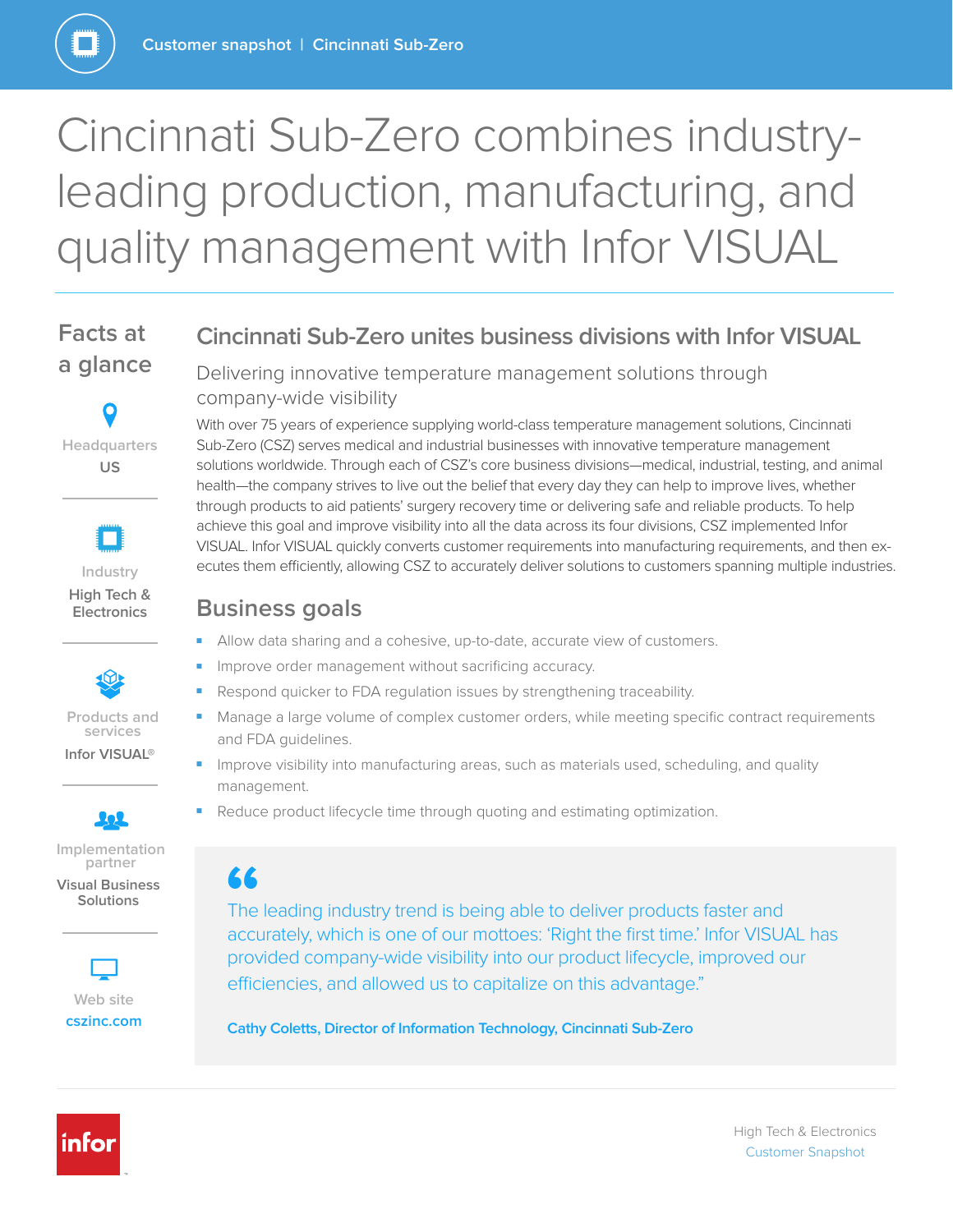

# Cincinnati Sub-Zero combines industryleading production, manufacturing, and quality management with Infor VISUAL

# **Facts at a glance**







**Infor VISUAL®** 



**Implementation partner Visual Business** 

**Solutions** 



**[cszinc.com](http://www.cszinc.com)**

### **Cincinnati Sub-Zero unites business divisions with Infor VISUAL**

Delivering innovative temperature management solutions through company-wide visibility

With over 75 years of experience supplying world-class temperature management solutions, Cincinnati Sub-Zero (CSZ) serves medical and industrial businesses with innovative temperature management solutions worldwide. Through each of CSZ's core business divisions—medical, industrial, testing, and animal health—the company strives to live out the belief that every day they can help to improve lives, whether through products to aid patients' surgery recovery time or delivering safe and reliable products. To help achieve this goal and improve visibility into all the data across its four divisions, CSZ implemented Infor VISUAL. Infor VISUAL quickly converts customer requirements into manufacturing requirements, and then executes them efficiently, allowing CSZ to accurately deliver solutions to customers spanning multiple industries.

### **Business goals**

- Allow data sharing and a cohesive, up-to-date, accurate view of customers.
- Improve order management without sacrificing accuracy.
- Respond quicker to FDA regulation issues by strengthening traceability.
- Manage a large volume of complex customer orders, while meeting specific contract requirements and FDA guidelines.
- Improve visibility into manufacturing areas, such as materials used, scheduling, and quality management.
- Reduce product lifecycle time through quoting and estimating optimization.

**66**<br>The<br>accu The leading industry trend is being able to deliver products faster and accurately, which is one of our mottoes: 'Right the first time.' Infor VISUAL has provided company-wide visibility into our product lifecycle, improved our efficiencies, and allowed us to capitalize on this advantage."

**Cathy Coletts, Director of Information Technology, Cincinnati Sub-Zero**



High Tech & Electronics Customer Snapshot